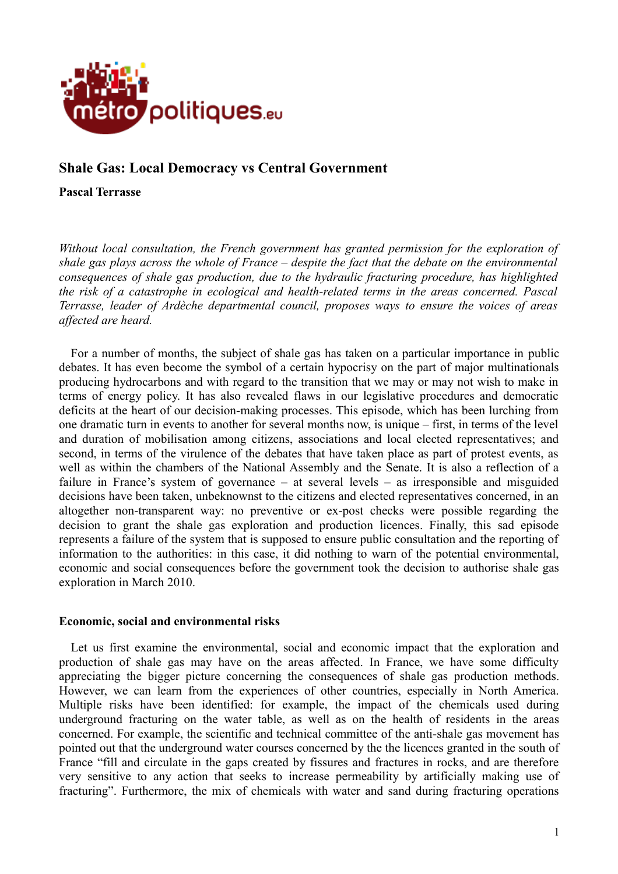

# **Shale Gas: Local Democracy vs Central Government**

**Pascal Terrasse**

*Without local consultation, the French government has granted permission for the exploration of shale gas plays across the whole of France – despite the fact that the debate on the environmental consequences of shale gas production, due to the hydraulic fracturing procedure, has highlighted the risk of a catastrophe in ecological and health-related terms in the areas concerned. Pascal Terrasse, leader of Ardèche departmental council, proposes ways to ensure the voices of areas affected are heard.*

For a number of months, the subject of shale gas has taken on a particular importance in public debates. It has even become the symbol of a certain hypocrisy on the part of major multinationals producing hydrocarbons and with regard to the transition that we may or may not wish to make in terms of energy policy. It has also revealed flaws in our legislative procedures and democratic deficits at the heart of our decision-making processes. This episode, which has been lurching from one dramatic turn in events to another for several months now, is unique – first, in terms of the level and duration of mobilisation among citizens, associations and local elected representatives; and second, in terms of the virulence of the debates that have taken place as part of protest events, as well as within the chambers of the National Assembly and the Senate. It is also a reflection of a failure in France's system of governance – at several levels – as irresponsible and misguided decisions have been taken, unbeknownst to the citizens and elected representatives concerned, in an altogether non-transparent way: no preventive or ex-post checks were possible regarding the decision to grant the shale gas exploration and production licences. Finally, this sad episode represents a failure of the system that is supposed to ensure public consultation and the reporting of information to the authorities: in this case, it did nothing to warn of the potential environmental, economic and social consequences before the government took the decision to authorise shale gas exploration in March 2010.

### **Economic, social and environmental risks**

Let us first examine the environmental, social and economic impact that the exploration and production of shale gas may have on the areas affected. In France, we have some difficulty appreciating the bigger picture concerning the consequences of shale gas production methods. However, we can learn from the experiences of other countries, especially in North America. Multiple risks have been identified: for example, the impact of the chemicals used during underground fracturing on the water table, as well as on the health of residents in the areas concerned. For example, the scientific and technical committee of the anti-shale gas movement has pointed out that the underground water courses concerned by the the licences granted in the south of France "fill and circulate in the gaps created by fissures and fractures in rocks, and are therefore very sensitive to any action that seeks to increase permeability by artificially making use of fracturing". Furthermore, the mix of chemicals with water and sand during fracturing operations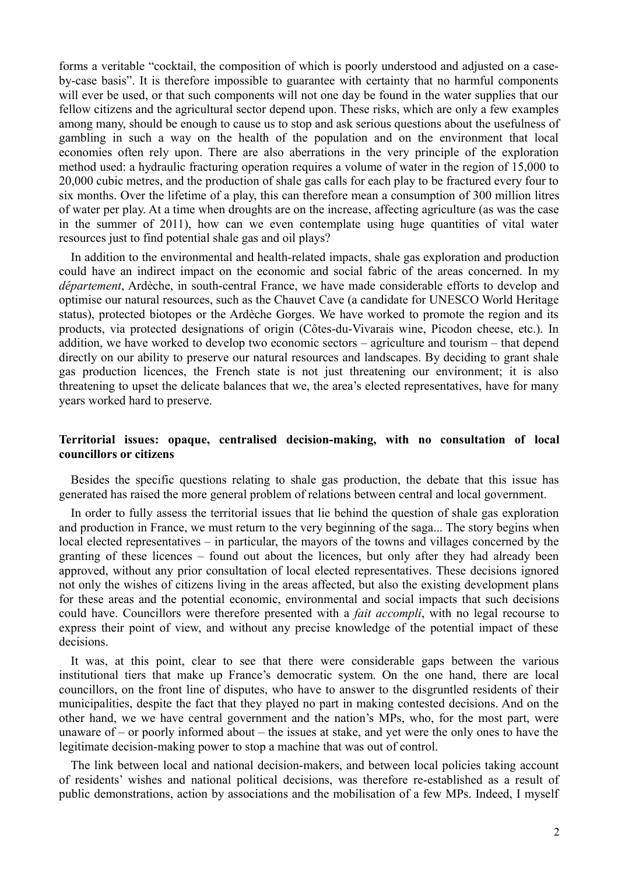forms a veritable "cocktail, the composition of which is poorly understood and adjusted on a caseby-case basis". It is therefore impossible to guarantee with certainty that no harmful components will ever be used, or that such components will not one day be found in the water supplies that our fellow citizens and the agricultural sector depend upon. These risks, which are only a few examples among many, should be enough to cause us to stop and ask serious questions about the usefulness of gambling in such a way on the health of the population and on the environment that local economies often rely upon. There are also aberrations in the very principle of the exploration method used: a hydraulic fracturing operation requires a volume of water in the region of 15,000 to 20,000 cubic metres, and the production of shale gas calls for each play to be fractured every four to six months. Over the lifetime of a play, this can therefore mean a consumption of 300 million litres of water per play. At a time when droughts are on the increase, affecting agriculture (as was the case in the summer of 2011), how can we even contemplate using huge quantities of vital water resources just to find potential shale gas and oil plays?

In addition to the environmental and health-related impacts, shale gas exploration and production could have an indirect impact on the economic and social fabric of the areas concerned. In my *département*, Ardèche, in south-central France, we have made considerable efforts to develop and optimise our natural resources, such as the Chauvet Cave (a candidate for UNESCO World Heritage status), protected biotopes or the Ardèche Gorges. We have worked to promote the region and its products, via protected designations of origin (Côtes-du-Vivarais wine, Picodon cheese, etc.). In addition, we have worked to develop two economic sectors – agriculture and tourism – that depend directly on our ability to preserve our natural resources and landscapes. By deciding to grant shale gas production licences, the French state is not just threatening our environment; it is also threatening to upset the delicate balances that we, the area's elected representatives, have for many years worked hard to preserve.

## **Territorial issues: opaque, centralised decision-making, with no consultation of local councillors or citizens**

Besides the specific questions relating to shale gas production, the debate that this issue has generated has raised the more general problem of relations between central and local government.

In order to fully assess the territorial issues that lie behind the question of shale gas exploration and production in France, we must return to the very beginning of the saga... The story begins when local elected representatives – in particular, the mayors of the towns and villages concerned by the granting of these licences – found out about the licences, but only after they had already been approved, without any prior consultation of local elected representatives. These decisions ignored not only the wishes of citizens living in the areas affected, but also the existing development plans for these areas and the potential economic, environmental and social impacts that such decisions could have. Councillors were therefore presented with a *fait accompli*, with no legal recourse to express their point of view, and without any precise knowledge of the potential impact of these decisions.

It was, at this point, clear to see that there were considerable gaps between the various institutional tiers that make up France's democratic system. On the one hand, there are local councillors, on the front line of disputes, who have to answer to the disgruntled residents of their municipalities, despite the fact that they played no part in making contested decisions. And on the other hand, we we have central government and the nation's MPs, who, for the most part, were unaware of – or poorly informed about – the issues at stake, and yet were the only ones to have the legitimate decision-making power to stop a machine that was out of control.

The link between local and national decision-makers, and between local policies taking account of residents' wishes and national political decisions, was therefore re-established as a result of public demonstrations, action by associations and the mobilisation of a few MPs. Indeed, I myself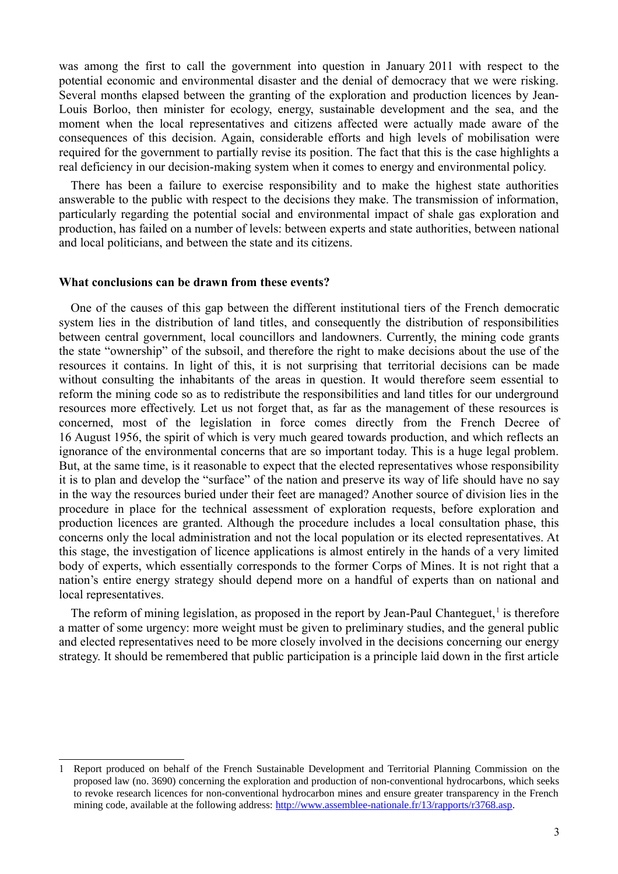was among the first to call the government into question in January 2011 with respect to the potential economic and environmental disaster and the denial of democracy that we were risking. Several months elapsed between the granting of the exploration and production licences by Jean-Louis Borloo, then minister for ecology, energy, sustainable development and the sea, and the moment when the local representatives and citizens affected were actually made aware of the consequences of this decision. Again, considerable efforts and high levels of mobilisation were required for the government to partially revise its position. The fact that this is the case highlights a real deficiency in our decision-making system when it comes to energy and environmental policy.

There has been a failure to exercise responsibility and to make the highest state authorities answerable to the public with respect to the decisions they make. The transmission of information, particularly regarding the potential social and environmental impact of shale gas exploration and production, has failed on a number of levels: between experts and state authorities, between national and local politicians, and between the state and its citizens.

#### **What conclusions can be drawn from these events?**

One of the causes of this gap between the different institutional tiers of the French democratic system lies in the distribution of land titles, and consequently the distribution of responsibilities between central government, local councillors and landowners. Currently, the mining code grants the state "ownership" of the subsoil, and therefore the right to make decisions about the use of the resources it contains. In light of this, it is not surprising that territorial decisions can be made without consulting the inhabitants of the areas in question. It would therefore seem essential to reform the mining code so as to redistribute the responsibilities and land titles for our underground resources more effectively. Let us not forget that, as far as the management of these resources is concerned, most of the legislation in force comes directly from the French Decree of 16 August 1956, the spirit of which is very much geared towards production, and which reflects an ignorance of the environmental concerns that are so important today. This is a huge legal problem. But, at the same time, is it reasonable to expect that the elected representatives whose responsibility it is to plan and develop the "surface" of the nation and preserve its way of life should have no say in the way the resources buried under their feet are managed? Another source of division lies in the procedure in place for the technical assessment of exploration requests, before exploration and production licences are granted. Although the procedure includes a local consultation phase, this concerns only the local administration and not the local population or its elected representatives. At this stage, the investigation of licence applications is almost entirely in the hands of a very limited body of experts, which essentially corresponds to the former Corps of Mines. It is not right that a nation's entire energy strategy should depend more on a handful of experts than on national and local representatives.

The reform of mining legislation, as proposed in the report by Jean-Paul Chanteguet,<sup>[1](#page-2-0)</sup> is therefore a matter of some urgency: more weight must be given to preliminary studies, and the general public and elected representatives need to be more closely involved in the decisions concerning our energy strategy. It should be remembered that public participation is a principle laid down in the first article

<span id="page-2-0"></span><sup>1</sup> Report produced on behalf of the French Sustainable Development and Territorial Planning Commission on the proposed law (no. 3690) concerning the exploration and production of non-conventional hydrocarbons, which seeks to revoke research licences for non-conventional hydrocarbon mines and ensure greater transparency in the French mining code, available at the following address: [http://www.assemblee-nationale.fr/13/rapports/r3768.asp.](http://www.assemblee-nationale.fr/13/rapports/r3768.asp)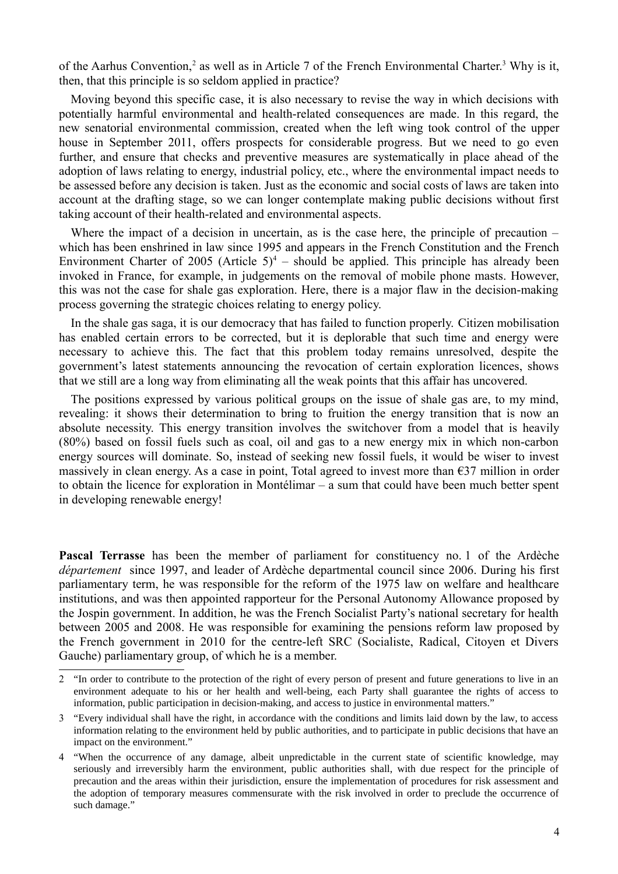of the Aarhus Convention,<sup>[2](#page-3-0)</sup> as well as in Article 7 of the French Environmental Charter.<sup>[3](#page-3-1)</sup> Why is it, then, that this principle is so seldom applied in practice?

Moving beyond this specific case, it is also necessary to revise the way in which decisions with potentially harmful environmental and health-related consequences are made. In this regard, the new senatorial environmental commission, created when the left wing took control of the upper house in September 2011, offers prospects for considerable progress. But we need to go even further, and ensure that checks and preventive measures are systematically in place ahead of the adoption of laws relating to energy, industrial policy, etc., where the environmental impact needs to be assessed before any decision is taken. Just as the economic and social costs of laws are taken into account at the drafting stage, so we can longer contemplate making public decisions without first taking account of their health-related and environmental aspects.

Where the impact of a decision in uncertain, as is the case here, the principle of precaution – which has been enshrined in law since 1995 and appears in the French Constitution and the French Environment Charter of 2005 (Article  $5)^4$  $5)^4$  – should be applied. This principle has already been invoked in France, for example, in judgements on the removal of mobile phone masts. However, this was not the case for shale gas exploration. Here, there is a major flaw in the decision-making process governing the strategic choices relating to energy policy.

In the shale gas saga, it is our democracy that has failed to function properly. Citizen mobilisation has enabled certain errors to be corrected, but it is deplorable that such time and energy were necessary to achieve this. The fact that this problem today remains unresolved, despite the government's latest statements announcing the revocation of certain exploration licences, shows that we still are a long way from eliminating all the weak points that this affair has uncovered.

The positions expressed by various political groups on the issue of shale gas are, to my mind, revealing: it shows their determination to bring to fruition the energy transition that is now an absolute necessity. This energy transition involves the switchover from a model that is heavily (80%) based on fossil fuels such as coal, oil and gas to a new energy mix in which non-carbon energy sources will dominate. So, instead of seeking new fossil fuels, it would be wiser to invest massively in clean energy. As a case in point, Total agreed to invest more than  $\epsilon$ 37 million in order to obtain the licence for exploration in Montélimar – a sum that could have been much better spent in developing renewable energy!

**Pascal Terrasse** has been the member of parliament for constituency no. 1 of the Ardèche *département* since 1997, and leader of Ardèche departmental council since 2006. During his first parliamentary term, he was responsible for the reform of the 1975 law on welfare and healthcare institutions, and was then appointed rapporteur for the Personal Autonomy Allowance proposed by the Jospin government. In addition, he was the French Socialist Party's national secretary for health between 2005 and 2008. He was responsible for examining the pensions reform law proposed by the French government in 2010 for the centre-left SRC (Socialiste, Radical, Citoyen et Divers Gauche) parliamentary group, of which he is a member.

<span id="page-3-0"></span><sup>2</sup> "In order to contribute to the protection of the right of every person of present and future generations to live in an environment adequate to his or her health and well-being, each Party shall guarantee the rights of access to information, public participation in decision-making, and access to justice in environmental matters."

<span id="page-3-1"></span><sup>3</sup> "Every individual shall have the right, in accordance with the conditions and limits laid down by the law, to access information relating to the environment held by public authorities, and to participate in public decisions that have an impact on the environment."

<span id="page-3-2"></span><sup>4</sup> "When the occurrence of any damage, albeit unpredictable in the current state of scientific knowledge, may seriously and irreversibly harm the environment, public authorities shall, with due respect for the principle of precaution and the areas within their jurisdiction, ensure the implementation of procedures for risk assessment and the adoption of temporary measures commensurate with the risk involved in order to preclude the occurrence of such damage."